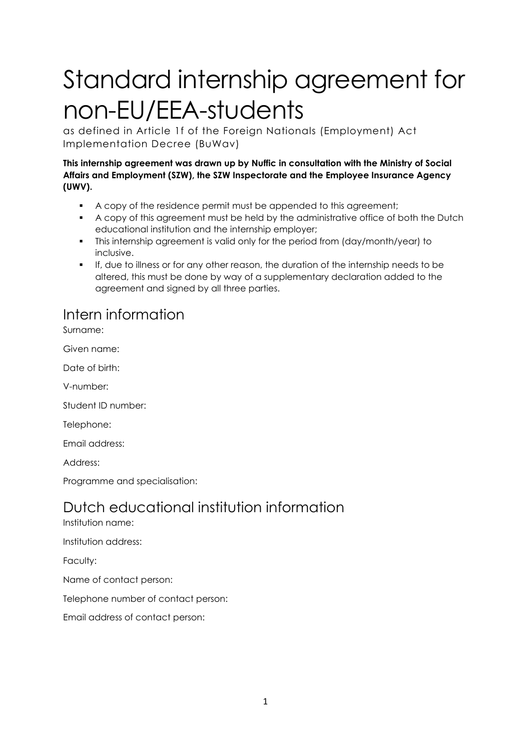# Standard internship agreement for non-EU/EEA-students

as defined in Article 1f of the Foreign Nationals (Employment) Act Implementation Decree (BuWav)

**This internship agreement was drawn up by Nuffic in consultation with the Ministry of Social Affairs and Employment (SZW), the SZW Inspectorate and the Employee Insurance Agency (UWV).**

- A copy of the residence permit must be appended to this agreement;
- A copy of this agreement must be held by the administrative office of both the Dutch educational institution and the internship employer;
- This internship agreement is valid only for the period from (day/month/year) to inclusive.
- If, due to illness or for any other reason, the duration of the internship needs to be altered, this must be done by way of a supplementary declaration added to the agreement and signed by all three parties.

### Intern information

Surname:

Given name:

Date of birth:

V-number:

Student ID number:

Telephone:

Email address:

Address:

Programme and specialisation:

## Dutch educational institution information

Institution name:

Institution address:

Faculty:

Name of contact person:

Telephone number of contact person:

Email address of contact person: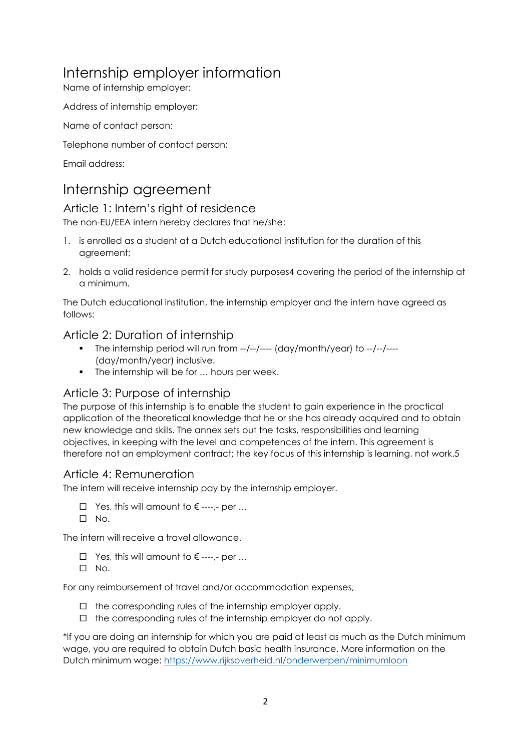## Internship employer information

Name of internship employer:

Address of internship employer:

Name of contact person:

Telephone number of contact person:

Email address:

## Internship agreement

#### Article 1: Intern's right of residence

The non-EU/EEA intern hereby declares that he/she:

- 1. is enrolled as a student at a Dutch educational institution for the duration of this agreement;
- 2. holds a valid residence permit for study purposes4 covering the period of the internship at a minimum.

The Dutch educational institution, the internship employer and the intern have agreed as follows:

#### Article 2: Duration of internship

- The internship period will run from --/--/---- (day/month/year) to --/--/----(day/month/year) inclusive.
- The internship will be for ... hours per week.

#### Article 3: Purpose of internship

The purpose of this internship is to enable the student to gain experience in the practical application of the theoretical knowledge that he or she has already acquired and to obtain new knowledge and skills. The annex sets out the tasks, responsibilities and learning objectives, in keeping with the level and competences of the intern. This agreement is therefore not an employment contract; the key focus of this internship is learning, not work.5

#### Article 4: Remuneration

The intern will receive internship pay by the internship employer.

- $\Box$  Yes, this will amount to  $\epsilon$  ----,- per ...
- $\Box$  No.

The intern will receive a travel allowance.

- Yes, this will amount to € ----,- per …
- $\square$  No.

For any reimbursement of travel and/or accommodation expenses,

- $\Box$  the corresponding rules of the internship employer apply.
- $\Box$  the corresponding rules of the internship employer do not apply.

\*If you are doing an internship for which you are paid at least as much as the Dutch minimum wage, you are required to obtain Dutch basic health insurance. More information on the Dutch minimum wage:<https://www.rijksoverheid.nl/onderwerpen/minimumloon>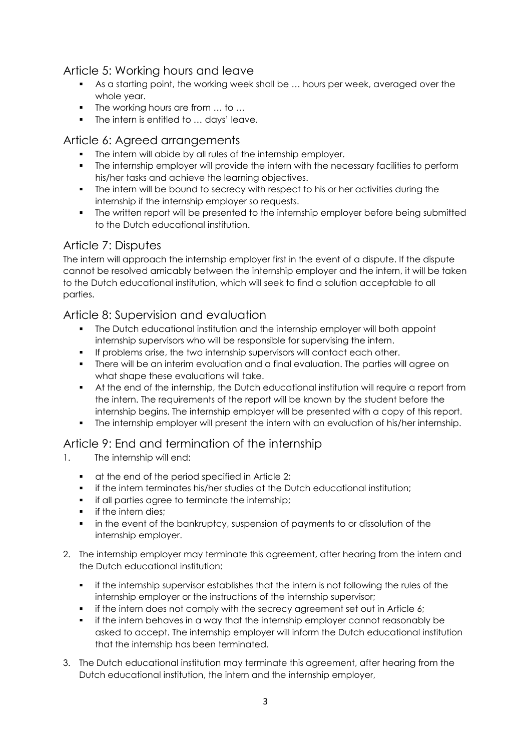#### Article 5: Working hours and leave

- As a starting point, the working week shall be … hours per week, averaged over the whole year.
- The working hours are from ... to ...
- The intern is entitled to ... days' leave.

#### Article 6: Agreed arrangements

- The intern will abide by all rules of the internship employer.
- The internship employer will provide the intern with the necessary facilities to perform his/her tasks and achieve the learning objectives.
- **The intern will be bound to secrecy with respect to his or her activities during the** internship if the internship employer so requests.
- The written report will be presented to the internship employer before being submitted to the Dutch educational institution.

#### Article 7: Disputes

The intern will approach the internship employer first in the event of a dispute. If the dispute cannot be resolved amicably between the internship employer and the intern, it will be taken to the Dutch educational institution, which will seek to find a solution acceptable to all parties.

#### Article 8: Supervision and evaluation

- The Dutch educational institution and the internship employer will both appoint internship supervisors who will be responsible for supervising the intern.
- If problems arise, the two internship supervisors will contact each other.
- **There will be an interim evaluation and a final evaluation. The parties will agree on** what shape these evaluations will take.
- At the end of the internship, the Dutch educational institution will require a report from the intern. The requirements of the report will be known by the student before the internship begins. The internship employer will be presented with a copy of this report.
- The internship employer will present the intern with an evaluation of his/her internship.

#### Article 9: End and termination of the internship

- 1. The internship will end:
	- **•** at the end of the period specified in Article 2;
	- if the intern terminates his/her studies at the Dutch educational institution;
	- **i** if all parties agree to terminate the internship;
	- **i** if the intern dies;
	- **in the event of the bankruptcy, suspension of payments to or dissolution of the** internship employer.
- 2. The internship employer may terminate this agreement, after hearing from the intern and the Dutch educational institution:
	- if the internship supervisor establishes that the intern is not following the rules of the internship employer or the instructions of the internship supervisor;
	- **•** if the intern does not comply with the secrecy agreement set out in Article 6;
	- if the intern behaves in a way that the internship employer cannot reasonably be asked to accept. The internship employer will inform the Dutch educational institution that the internship has been terminated.
- 3. The Dutch educational institution may terminate this agreement, after hearing from the Dutch educational institution, the intern and the internship employer,